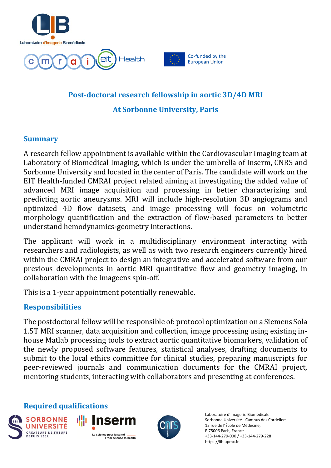





## **Post-doctoral research fellowship in aortic 3D/4D MRI At Sorbonne University, Paris**

## **Summary**

A research fellow appointment is available within the Cardiovascular Imaging team at Laboratory of Biomedical Imaging, which is under the umbrella of Inserm, CNRS and Sorbonne University and located in the center of Paris. The candidate will work on the EIT Health-funded CMRAI project related aiming at investigating the added value of advanced MRI image acquisition and processing in better characterizing and predicting aortic aneurysms. MRI will include high-resolution 3D angiograms and optimized 4D flow datasets, and image processing will focus on volumetric morphology quantification and the extraction of flow-based parameters to better understand hemodynamics-geometry interactions.

The applicant will work in a multidisciplinary environment interacting with researchers and radiologists, as well as with two research engineers currently hired within the CMRAI project to design an integrative and accelerated software from our previous developments in aortic MRI quantitative flow and geometry imaging, in collaboration with the Imageens spin-off.

This is a 1-year appointment potentially renewable.

## **Responsibilities**

The postdoctoral fellow will be responsible of: protocol optimization on a Siemens Sola 1.5T MRI scanner, data acquisition and collection, image processing using existing inhouse Matlab processing tools to extract aortic quantitative biomarkers, validation of the newly proposed software features, statistical analyses, drafting documents to submit to the local ethics committee for clinical studies, preparing manuscripts for peer-reviewed journals and communication documents for the CMRAI project, mentoring students, interacting with collaborators and presenting at conferences.

**Required qualifications**









Laboratoire d'Imagerie Biomédicale Sorbonne Université - Campus des Cordeliers 15 rue de l'École de Médecine, F-75006 Paris, France +33-144-279-000 / +33-144-279-228 https://lib.upmc.fr